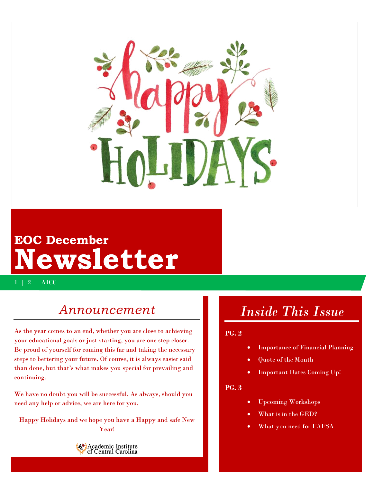

# **EOC December Newsletter**

1 | 2 | AICC

## *Announcement*

As the year comes to an end, whether you are close to achieving your educational goals or just starting, you are one step closer. Be proud of yourself for coming this far and taking the necessary steps to bettering your future. Of course, it is always easier said than done, but that's what makes you special for prevailing and continuing.

We have no doubt you will be successful. As always, should you need any help or advice, we are here for you.

Happy Holidays and we hope you have a Happy and safe New Year!



# *Inside This Issue*

### **PG. 2**

- Importance of Financial Planning
- Quote of the Month
- Important Dates Coming Up!

### **PG. 3**

- Upcoming Workshops
- What is in the GED?
- What you need for FAFSA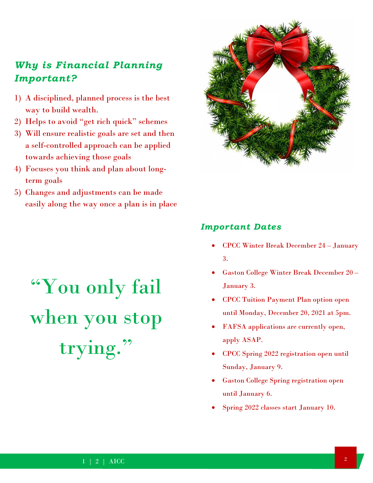## *Why is Financial Planning Important?*

- 1) A disciplined, planned process is the best way to build wealth.
- 2) Helps to avoid "get rich quick" schemes
- 3) Will ensure realistic goals are set and then a self-controlled approach can be applied towards achieving those goals
- 4) Focuses you think and plan about longterm goals
- 5) Changes and adjustments can be made easily along the way once a plan is in place



### *Important Dates*

- CPCC Winter Break December 24 January 3.
- Gaston College Winter Break December 20 January 3.
- CPCC Tuition Payment Plan option open until Monday, December 20, 2021 at 5pm.
- FAFSA applications are currently open, apply ASAP.
- CPCC Spring 2022 registration open until Sunday, January 9.
- Gaston College Spring registration open until January 6.
- Spring 2022 classes start January 10.

# "You only fail when you stop trying."